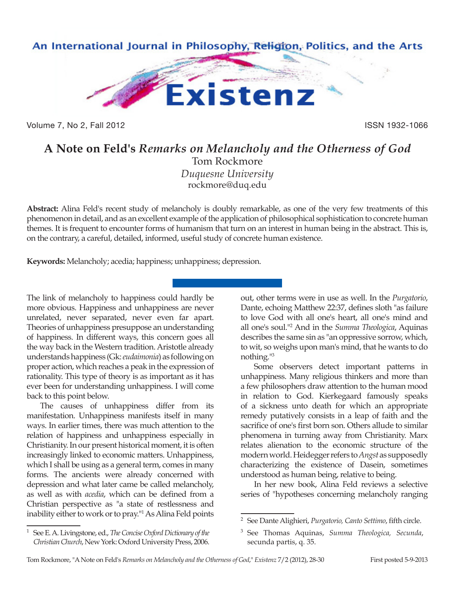

Volume 7, No 2, Fall 2012 **ISSN 1932-1066** 

## **A Note on Feld's** *Remarks on Melancholy and the Otherness of God* Tom Rockmore

*Duquesne University* rockmore@duq.edu

**Abstract:** Alina Feld's recent study of melancholy is doubly remarkable, as one of the very few treatments of this phenomenon in detail, and as an excellent example of the application of philosophical sophistication to concrete human themes. It is frequent to encounter forms of humanism that turn on an interest in human being in the abstract. This is, on the contrary, a careful, detailed, informed, useful study of concrete human existence.

**Keywords:** Melancholy; acedia; happiness; unhappiness; depression.

The link of melancholy to happiness could hardly be more obvious. Happiness and unhappiness are never unrelated, never separated, never even far apart. Theories of unhappiness presuppose an understanding of happiness. In different ways, this concern goes all the way back in the Western tradition. Aristotle already understands happiness (Gk: *eudaimonia*) as following on proper action, which reaches a peak in the expression of rationality. This type of theory is as important as it has ever been for understanding unhappiness. I will come back to this point below.

The causes of unhappiness differ from its manifestation. Unhappiness manifests itself in many ways. In earlier times, there was much attention to the relation of happiness and unhappiness especially in Christianity. In our present historical moment, it is often increasingly linked to economic matters. Unhappiness, which I shall be using as a general term, comes in many forms. The ancients were already concerned with depression and what later came be called melancholy, as well as with *acedia*, which can be defined from a Christian perspective as "a state of restlessness and inability either to work or to pray."1 As Alina Feld points

out, other terms were in use as well. In the *Purgatorio*, Dante, echoing Matthew 22:37, defines sloth "as failure to love God with all one's heart, all one's mind and all one's soul."2 And in the *Summa Theologica*, Aquinas describes the same sin as "an oppressive sorrow, which, to wit, so weighs upon man's mind, that he wants to do nothing."3

Some observers detect important patterns in unhappiness. Many religious thinkers and more than a few philosophers draw attention to the human mood in relation to God. Kierkegaard famously speaks of a sickness unto death for which an appropriate remedy putatively consists in a leap of faith and the sacrifice of one's first born son. Others allude to similar phenomena in turning away from Christianity. Marx relates alienation to the economic structure of the modern world. Heidegger refers to *Angst* as supposedly characterizing the existence of Dasein, sometimes understood as human being, relative to being.

In her new book, Alina Feld reviews a selective series of "hypotheses concerning melancholy ranging

<sup>2</sup> See Dante Alighieri, *Purgatorio, Canto Settimo*, fifth circle.

<sup>1</sup> See E. A. Livingstone, ed., *The Concise Oxford Dictionary of the Christian Church*, New York: Oxford University Press, 2006.

<sup>3</sup> See Thomas Aquinas, *Summa Theologica, Secunda*, secunda partis, q. 35.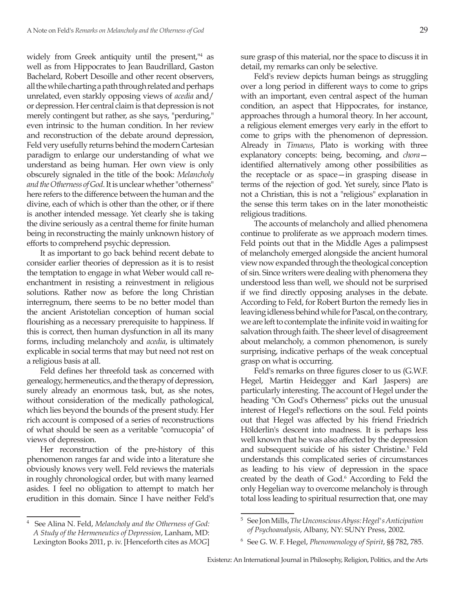widely from Greek antiquity until the present,<sup>14</sup> as well as from Hippocrates to Jean Baudrillard, Gaston Bachelard, Robert Desoille and other recent observers, all the while charting a path through related and perhaps unrelated, even starkly opposing views of *acedia* and/ or depression. Her central claim is that depression is not merely contingent but rather, as she says, "perduring," even intrinsic to the human condition. In her review and reconstruction of the debate around depression, Feld very usefully returns behind the modern Cartesian paradigm to enlarge our understanding of what we understand as being human. Her own view is only obscurely signaled in the title of the book: *Melancholy and the Otherness of God*. It is unclear whether "otherness" here refers to the difference between the human and the divine, each of which is other than the other, or if there is another intended message. Yet clearly she is taking the divine seriously as a central theme for finite human being in reconstructing the mainly unknown history of efforts to comprehend psychic depression.

It as important to go back behind recent debate to consider earlier theories of depression as it is to resist the temptation to engage in what Weber would call reenchantment in resisting a reinvestment in religious solutions. Rather now as before the long Christian interregnum, there seems to be no better model than the ancient Aristotelian conception of human social flourishing as a necessary prerequisite to happiness. If this is correct, then human dysfunction in all its many forms, including melancholy and *acedia*, is ultimately explicable in social terms that may but need not rest on a religious basis at all.

Feld defines her threefold task as concerned with genealogy, hermeneutics, and the therapy of depression, surely already an enormous task, but, as she notes, without consideration of the medically pathological, which lies beyond the bounds of the present study. Her rich account is composed of a series of reconstructions of what should be seen as a veritable "cornucopia" of views of depression.

Her reconstruction of the pre-history of this phenomenon ranges far and wide into a literature she obviously knows very well. Feld reviews the materials in roughly chronological order, but with many learned asides. I feel no obligation to attempt to match her erudition in this domain. Since I have neither Feld's

Feld's review depicts human beings as struggling over a long period in different ways to come to grips with an important, even central aspect of the human condition, an aspect that Hippocrates, for instance, approaches through a humoral theory. In her account, a religious element emerges very early in the effort to come to grips with the phenomenon of depression. Already in *Timaeus*, Plato is working with three explanatory concepts: being, becoming, and *chora* identified alternatively among other possibilities as the receptacle or as space—in grasping disease in terms of the rejection of god. Yet surely, since Plato is not a Christian, this is not a "religious" explanation in the sense this term takes on in the later monotheistic religious traditions.

The accounts of melancholy and allied phenomena continue to proliferate as we approach modern times. Feld points out that in the Middle Ages a palimpsest of melancholy emerged alongside the ancient humoral view now expanded through the theological conception of sin. Since writers were dealing with phenomena they understood less than well, we should not be surprised if we find directly opposing analyses in the debate. According to Feld, for Robert Burton the remedy lies in leaving idleness behind while for Pascal, on the contrary, we are left to contemplate the infinite void in waiting for salvation through faith. The sheer level of disagreement about melancholy, a common phenomenon, is surely surprising, indicative perhaps of the weak conceptual grasp on what is occurring.

Feld's remarks on three figures closer to us (G.W.F. Hegel, Martin Heidegger and Karl Jaspers) are particularly interesting. The account of Hegel under the heading "On God's Otherness" picks out the unusual interest of Hegel's reflections on the soul. Feld points out that Hegel was affected by his friend Friedrich Hölderlin's descent into madness. It is perhaps less well known that he was also affected by the depression and subsequent suicide of his sister Christine.5 Feld understands this complicated series of circumstances as leading to his view of depression in the space created by the death of God.<sup>6</sup> According to Feld the only Hegelian way to overcome melancholy is through total loss leading to spiritual resurrection that, one may

<sup>4</sup> See Alina N. Feld, *Melancholy and the Otherness of God: A Study of the Hermeneutics of Depression*, Lanham, MD: Lexington Books 2011, p. iv. [Henceforth cites as *MOG*]

<sup>5</sup> See Jon Mills, *The Unconscious Abyss: Hegel's Anticipation of Psychoanalysis*, Albany, NY: SUNY Press, 2002.

<sup>6</sup> See G. W. F. Hegel, *Phenomenology of Spirit*, §§ 782, 785.